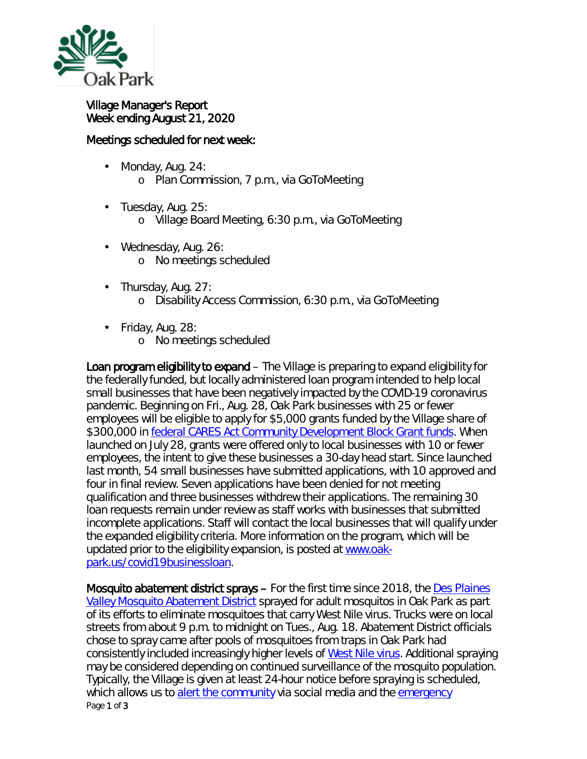

## Village Manager's Report Week ending August 21, 2020

## Meetings scheduled for next week:

- ä, Monday, Aug. 24: o Plan Commission, 7 p.m., via GoToMeeting
- t, Tuesday, Aug. 25: o Village Board Meeting, 6:30 p.m., via GoToMeeting
- Wednesday, Aug. 26:  $\blacksquare$ o No meetings scheduled
- Thursday, Aug. 27: ä,
	- o Disability Access Commission, 6:30 p.m., via GoToMeeting
- Friday, Aug. 28:
	- o No meetings scheduled

Loan program eligibility to expand – The Village is preparing to expand eligibility for the federally funded, but locally administered loan program intended to help local small businesses that have been negatively impacted by the COVID-19 coronavirus pandemic. Beginning on Fri., Aug. 28, Oak Park businesses with 25 or fewer employees will be eligible to apply for \$5,000 grants funded by the Village share of \$300,000 in [federal CARES Act Community Development Block Grant](https://crsreports.congress.gov/product/pdf/IN/IN11315) funds. When launched on July 28, grants were offered only to local businesses with 10 or fewer employees, the intent to give these businesses a 30-day head start. Since launched last month, 54 small businesses have submitted applications, with 10 approved and four in final review. Seven applications have been denied for not meeting qualification and three businesses withdrew their applications. The remaining 30 loan requests remain under review as staff works with businesses that submitted incomplete applications. Staff will contact the local businesses that will qualify under the expanded eligibility criteria. More information on the program, which will be updated prior to the eligibility expansion, is posted at [www.oak](http://www.oak-park.us/covid19businessloan)[park.us/covid19businessloan.](http://www.oak-park.us/covid19businessloan)

Page 1 of 3 Mosquito abatement district sprays – For the first time since 2018, the [Des Plaines](http://r20.rs6.net/tn.jsp?t=zj74fpyab.0.0.qdcllmmab.0&id=preview&r=3&p=http%3A%2F%2Fwww.desplainesvalleymad.com%2F)  [Valley Mosquito Abatement District](http://r20.rs6.net/tn.jsp?t=zj74fpyab.0.0.qdcllmmab.0&id=preview&r=3&p=http%3A%2F%2Fwww.desplainesvalleymad.com%2F) sprayed for adult mosquitos in Oak Park as part of its efforts to eliminate mosquitoes that carry West Nile virus. Trucks were on local streets from about 9 p.m. to midnight on Tues., Aug. 18. Abatement District officials chose to spray came after pools of mosquitoes from traps in Oak Park had consistently included increasingly higher levels of [West Nile virus.](https://www.oak-park.us/village-services/health-department/west-nile-virus) Additional spraying may be considered depending on continued surveillance of the mosquito population. Typically, the Village is given at least 24-hour notice before spraying is scheduled, which allows us to [alert the community](https://www.oak-park.us/news/mosquito-abatement-district-schedules-spraying-oak-park) via social media and the [emergency](https://www.oak-park.us/online-services/community-notification-system)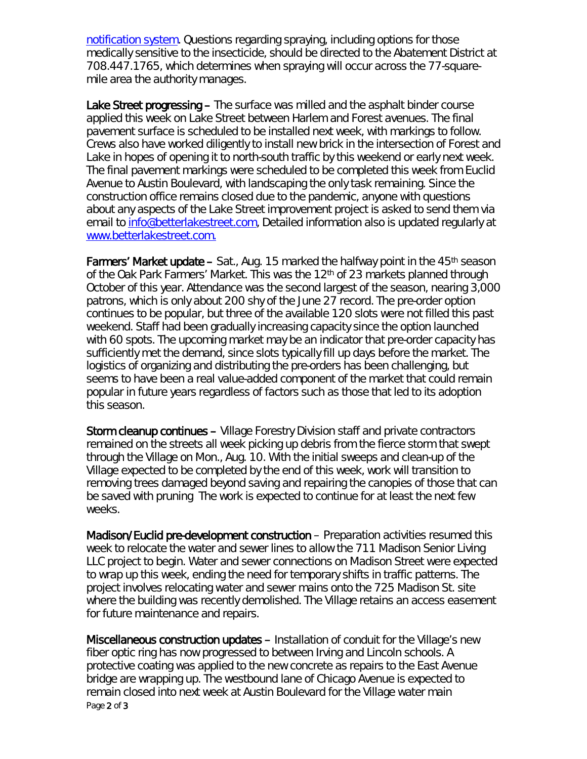[notification](https://www.oak-park.us/online-services/community-notification-system) system. Questions regarding spraying, including options for those medically sensitive to the insecticide, should be directed to the Abatement District at 708.447.1765, which determines when spraying will occur across the 77-squaremile area the authority manages.

Lake Street progressing – The surface was milled and the asphalt binder course applied this week on Lake Street between Harlem and Forest avenues. The final pavement surface is scheduled to be installed next week, with markings to follow. Crews also have worked diligently to install new brick in the intersection of Forest and Lake in hopes of opening it to north-south traffic by this weekend or early next week. The final pavement markings were scheduled to be completed this week from Euclid Avenue to Austin Boulevard, with landscaping the only task remaining. Since the construction office remains closed due to the pandemic, anyone with questions about any aspects of the Lake Street improvement project is asked to send them via email to [info@betterlakestreet.com,](mailto:info@betterlakestreet.com) Detailed information also is updated regularly at [www.betterlakestreet.com.](http://www.betterlakestreet.com./)

**Farmers' Market update –** Sat., Aug. 15 marked the halfway point in the  $45<sup>th</sup>$  season of the Oak Park Farmers' Market. This was the 12th of 23 markets planned through October of this year. Attendance was the second largest of the season, nearing 3,000 patrons, which is only about 200 shy of the June 27 record. The pre-order option continues to be popular, but three of the available 120 slots were not filled this past weekend. Staff had been gradually increasing capacity since the option launched with 60 spots. The upcoming market may be an indicator that pre-order capacity has sufficiently met the demand, since slots typically fill up days before the market. The logistics of organizing and distributing the pre-orders has been challenging, but seems to have been a real value-added component of the market that could remain popular in future years regardless of factors such as those that led to its adoption this season.

Storm cleanup continues – Village Forestry Division staff and private contractors remained on the streets all week picking up debris from the fierce storm that swept through the Village on Mon., Aug. 10. With the initial sweeps and clean-up of the Village expected to be completed by the end of this week, work will transition to removing trees damaged beyond saving and repairing the canopies of those that can be saved with pruning The work is expected to continue for at least the next few weeks.

Madison/Euclid pre-development construction – Preparation activities resumed this week to relocate the water and sewer lines to allow the 711 Madison Senior Living LLC project to begin. Water and sewer connections on Madison Street were expected to wrap up this week, ending the need for temporary shifts in traffic patterns. The project involves relocating water and sewer mains onto the 725 Madison St. site where the building was recently demolished. The Village retains an access easement for future maintenance and repairs.

Page 2 of 3 Miscellaneous construction updates – Installation of conduit for the Village's new fiber optic ring has now progressed to between Irving and Lincoln schools. A protective coating was applied to the new concrete as repairs to the East Avenue bridge are wrapping up. The westbound lane of Chicago Avenue is expected to remain closed into next week at Austin Boulevard for the Village water main